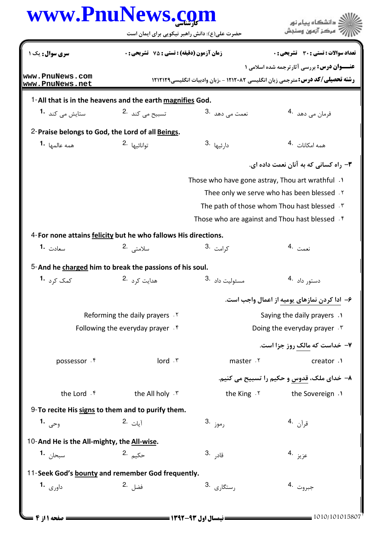| www.PnuNews. <u>co</u> m                                        |                                                           | حضرت علی(ع): دانش راهبر نیکویی برای ایمان است    | دانشگاه بیام نور<br>مركز آزمون وسنجش                                                                                                       |  |  |  |  |
|-----------------------------------------------------------------|-----------------------------------------------------------|--------------------------------------------------|--------------------------------------------------------------------------------------------------------------------------------------------|--|--|--|--|
| سری سوال: یک ۱                                                  | <b>زمان آزمون (دقیقه) : تستی : 75 ٪ تشریحی : 0</b>        |                                                  | تعداد سوالات : تستي : 30 ٪ تشريحي : 0                                                                                                      |  |  |  |  |
| www.PnuNews.com<br>www.PnuNews.net                              |                                                           |                                                  | <b>عنـــوان درس:</b> بررسي آثارترجمه شده اسلامي ۱<br><b>رشته تحصیلی/کد درس: مترجمی زبان انگلیسی ۱۲۱۲۰۸۲ - ،زبان وادبیات انگلیسی1۲۱۲۱۲۹</b> |  |  |  |  |
|                                                                 | 1-All that is in the heavens and the earth magnifies God. |                                                  |                                                                                                                                            |  |  |  |  |
| ستایش می کند <b>1</b> ۰                                         | تسبیح می کند <sup>.2</sup>                                | نعمت <sub>می دهد</sub> .3                        | فرمان مي دهد 4.                                                                                                                            |  |  |  |  |
| 2-Praise belongs to God, the Lord of all Beings.                |                                                           |                                                  |                                                                                                                                            |  |  |  |  |
| همه عالمها  • <b>1</b>                                          | توانائيها 2.                                              | 3. دارئيها                                       | همه امکانات 4.                                                                                                                             |  |  |  |  |
|                                                                 |                                                           |                                                  | ۳- راه کسانی که به آنان نعمت داده ای.                                                                                                      |  |  |  |  |
|                                                                 |                                                           | Those who have gone astray, Thou art wrathful .1 |                                                                                                                                            |  |  |  |  |
|                                                                 |                                                           |                                                  | Thee only we serve who has been blessed. Y                                                                                                 |  |  |  |  |
|                                                                 |                                                           |                                                  | The path of those whom Thou hast blessed .                                                                                                 |  |  |  |  |
|                                                                 |                                                           |                                                  | Those who are against and Thou hast blessed . f                                                                                            |  |  |  |  |
| 4- For none attains felicity but he who fallows His directions. |                                                           |                                                  |                                                                                                                                            |  |  |  |  |
| سعادت <b>1.</b>                                                 | سلامت <i>ی</i> .2                                         | ک <sub>ر امت</sub> .3                            | نعمت .4                                                                                                                                    |  |  |  |  |
| 5-And he charged him to break the passions of his soul.         |                                                           |                                                  |                                                                                                                                            |  |  |  |  |
| کمک کرد <b>1</b> ۰                                              | هدایت کړه <sup>.2</sup>                                   | 3. مسئوليت داد                                   | دستور داد 4.                                                                                                                               |  |  |  |  |
|                                                                 |                                                           |                                                  | ۶– ادا کردن نمازهای یومیه از اعمال واجب است.                                                                                               |  |  |  |  |
|                                                                 | Reforming the daily prayers . Y                           |                                                  | Saying the daily prayers .                                                                                                                 |  |  |  |  |
|                                                                 | Following the everyday prayer $.$ <sup>6</sup>            |                                                  | Doing the everyday prayer . ٣                                                                                                              |  |  |  |  |
|                                                                 |                                                           |                                                  | ۷- خداست که مالک روز جزا است.                                                                                                              |  |  |  |  |
| possessor . f                                                   | $Iord$ . $\mathsf{r}$                                     | master . ٢                                       | creator .1                                                                                                                                 |  |  |  |  |
|                                                                 |                                                           |                                                  | ۸– خدای ملک، قدوس و حکیم را تسبیح می کنیم.                                                                                                 |  |  |  |  |
| the Lord . f                                                    | the All holy . ٣                                          | the King . Y                                     | the Sovereign .1                                                                                                                           |  |  |  |  |
| 9-To recite His signs to them and to purify them.               |                                                           |                                                  |                                                                                                                                            |  |  |  |  |
| وحی <b>1.</b>                                                   | 1 <sub>يات</sub> .2                                       | رموز .3                                          | قرآن <sup>.4</sup>                                                                                                                         |  |  |  |  |
| 10-And He is the All-mighty, the All-wise.                      |                                                           |                                                  |                                                                                                                                            |  |  |  |  |
| سبحا <sub>ن</sub> <b>1.</b>                                     | حکي <sub>م</sub> .2                                       | قاد <sub>ر</sub> .3                              | عزيز .4                                                                                                                                    |  |  |  |  |
| 11-Seek God's bounty and remember God frequently.               |                                                           |                                                  |                                                                                                                                            |  |  |  |  |
| داورى <b>1.</b>                                                 | فضل .2                                                    | 3. رستگاری                                       | جبروت .4                                                                                                                                   |  |  |  |  |
|                                                                 |                                                           |                                                  |                                                                                                                                            |  |  |  |  |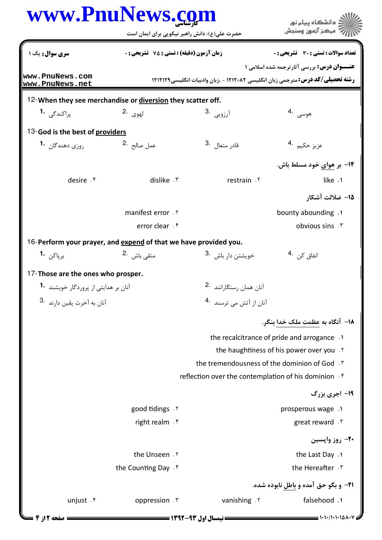| www.PnuNews.com                                                  | حضرت علی(ع): دانش راهبر نیکویی برای ایمان است      |                                                                                                                                            | .<br><mark>د</mark> دانشگاه پيام نور<br>مركز آزمون وسنجش                                             |
|------------------------------------------------------------------|----------------------------------------------------|--------------------------------------------------------------------------------------------------------------------------------------------|------------------------------------------------------------------------------------------------------|
| سری سوال: یک ۱                                                   | <b>زمان آزمون (دقیقه) : تستی : 75 ٪ تشریحی : 0</b> |                                                                                                                                            | تعداد سوالات : تستي : 30 ٪ تشريحي : 0                                                                |
| www.PnuNews.com<br>www.PnuNews.net                               |                                                    | <b>عنـــوان درس:</b> بررسی آثارترجمه شده اسلامی ۱<br><b>رشته تحصیلی/کد درس:</b> مترجمی زبان انگلیسی ۱۲۱۲۰۸۲ - ،زبان وادبیات انگلیسی۱۲۱۲۱۲۹ |                                                                                                      |
| 12-When they see merchandise or diversion they scatter off.      |                                                    |                                                                                                                                            |                                                                                                      |
| پراکندگے <sub>،</sub> 1 <b>۰</b>                                 | ل <sub>ھوی</sub> .2                                | آرزویی <sup>.3</sup>                                                                                                                       | هوسى .4                                                                                              |
| 13-God is the best of providers                                  |                                                    |                                                                                                                                            |                                                                                                      |
| روزي دهندگان <sup>1</sup> ۰                                      | عمل صالح <sup>.2</sup>                             | قادر متعال .3                                                                                                                              | عزيز حكي <sub>م</sub> .4                                                                             |
|                                                                  |                                                    |                                                                                                                                            | ۱۴- بر هوای خود مسلط باش.                                                                            |
| desire f                                                         | dislike . ٣                                        | restrain . ٢                                                                                                                               | like .1                                                                                              |
|                                                                  |                                                    |                                                                                                                                            | ∆1– ضلالت آشکار                                                                                      |
|                                                                  | manifest error . Y                                 |                                                                                                                                            | bounty abounding .                                                                                   |
|                                                                  | error clear . f                                    |                                                                                                                                            | obvious sins . \r                                                                                    |
| 16-Perform your prayer, and expend of that we have provided you. |                                                    |                                                                                                                                            |                                                                                                      |
| برپاکن <b>1۰</b>                                                 | متقى باش <sup>.2</sup>                             | خویشتن دار باش <sup>.3</sup>                                                                                                               | انفاق کن <sup>.4</sup>                                                                               |
| 17-Those are the ones who prosper.                               |                                                    |                                                                                                                                            |                                                                                                      |
| آنان بر هدایتی از پروردگار خویشند <b>-1</b>                      |                                                    | آنان همان رستگارانند <sup>.2</sup>                                                                                                         |                                                                                                      |
| 3. آنان به آخرت يقين دارند                                       |                                                    | آنان از آتش می ترسند <sup>.4</sup>                                                                                                         |                                                                                                      |
|                                                                  |                                                    |                                                                                                                                            | ۱۸− آنگاه به عظمت ملک خدا بنگر.                                                                      |
|                                                                  |                                                    |                                                                                                                                            | the recalcitrance of pride and arrogance.                                                            |
|                                                                  |                                                    |                                                                                                                                            | the haughtiness of his power over you .Y                                                             |
|                                                                  |                                                    |                                                                                                                                            | the tremendousness of the dominion of God . \vare \vare \vare \vare \vare \vare \vare \vare \vare \v |
|                                                                  |                                                    | reflection over the contemplation of his dominion f                                                                                        |                                                                                                      |
|                                                                  |                                                    |                                                                                                                                            | 19- اجری بزرگ                                                                                        |
|                                                                  | good tidings . Y                                   |                                                                                                                                            | prosperous wage .1                                                                                   |
|                                                                  | right realm . f                                    |                                                                                                                                            | great reward . \v                                                                                    |
|                                                                  |                                                    |                                                                                                                                            | <b>۲۰</b> - روز وایسین                                                                               |
|                                                                  | the Unseen . Y                                     |                                                                                                                                            | the Last Day .1                                                                                      |
|                                                                  | the Counting Day . f                               |                                                                                                                                            | the Hereafter . ٣                                                                                    |
|                                                                  |                                                    |                                                                                                                                            | <b>۲۱</b> - و بگو حق آمده و باطل نابوده شده.                                                         |
| unjust . r                                                       | oppression . ٣                                     | vanishing . ٢                                                                                                                              | falsehood .1                                                                                         |
| صفحه 12 2                                                        | <b>نیمسال اول ۹۳-۱۳۹۲ <del>- - - -</del></b>       |                                                                                                                                            |                                                                                                      |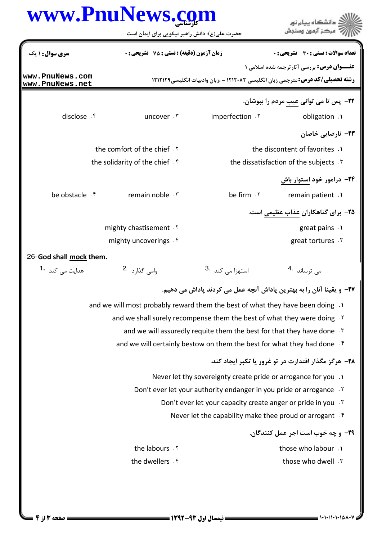|                                    | www.PnuNews.com<br>حضرت علی(ع): دانش راهبر نیکویی برای ایمان است              |                                                                            | ، دانشگاه پیام نور                                                                                                                         |  |  |
|------------------------------------|-------------------------------------------------------------------------------|----------------------------------------------------------------------------|--------------------------------------------------------------------------------------------------------------------------------------------|--|--|
| سری سوال: ۱ یک                     | <b>زمان آزمون (دقیقه) : تستی : 75 تشریحی : 0</b>                              |                                                                            | تعداد سوالات : تستى : 30 ٪ تشريحي : 0                                                                                                      |  |  |
| www.PnuNews.com<br>www.PnuNews.net |                                                                               |                                                                            | <b>عنـــوان درس:</b> بررسي آثارترجمه شده اسلامي ۱<br><b>رشته تحصیلی/کد درس:</b> مترجمی زبان انگلیسی ۱۲۱۲۰۸۲ - ،زبان وادبیات انگلیسی۱۲۱۲۱۲۹ |  |  |
|                                    |                                                                               |                                                                            | <b>۲۲</b> - پس تا می توانی عیب مردم را بپوشان.                                                                                             |  |  |
| disclose . f                       | uncover . ٣                                                                   | imperfection .Y                                                            | obligation .1                                                                                                                              |  |  |
|                                    |                                                                               |                                                                            | ۲۳– نارضایی خاصان                                                                                                                          |  |  |
|                                    | the comfort of the chief . Y                                                  |                                                                            | the discontent of favorites .1                                                                                                             |  |  |
|                                    | the solidarity of the chief . f                                               |                                                                            | the dissatisfaction of the subjects . T                                                                                                    |  |  |
|                                    |                                                                               |                                                                            | ۲۴– درامور خود استوار باش                                                                                                                  |  |  |
| be obstacle . f                    | remain noble . ٣                                                              | be firm . ٢                                                                | remain patient .1                                                                                                                          |  |  |
|                                    |                                                                               |                                                                            | ۲۵– برای گناهکاران عذاب عظیمی است.                                                                                                         |  |  |
|                                    | mighty chastisement Y                                                         |                                                                            | great pains .                                                                                                                              |  |  |
|                                    | mighty uncoverings f                                                          |                                                                            | great tortures . ٣                                                                                                                         |  |  |
| 26-God shall mock them.            |                                                                               |                                                                            |                                                                                                                                            |  |  |
| هدایت می کند <b>1۰</b>             | وامی گذارد 2.                                                                 | 3. استهزا می کند                                                           | می ترساند 4.                                                                                                                               |  |  |
|                                    |                                                                               |                                                                            | ٢٧- و يقينا آنان را به بهترين پاداش آنچه عمل مي كردند پاداش مي دهيم.                                                                       |  |  |
|                                    | and we will most probably reward them the best of what they have been doing . |                                                                            |                                                                                                                                            |  |  |
|                                    | and we shall surely recompense them the best of what they were doing . Y      |                                                                            |                                                                                                                                            |  |  |
|                                    |                                                                               | and we will assuredly requite them the best for that they have done . \van |                                                                                                                                            |  |  |
|                                    |                                                                               | and we will certainly bestow on them the best for what they had done . f   |                                                                                                                                            |  |  |
|                                    |                                                                               |                                                                            | ۲۸– هرگز مگذار اقتدارت در تو غرور یا تکبر ایجاد کند.                                                                                       |  |  |
|                                    |                                                                               | Never let thy sovereignty create pride or arrogance for you .1             |                                                                                                                                            |  |  |
|                                    | Don't ever let your authority endanger in you pride or arrogance . Y          |                                                                            |                                                                                                                                            |  |  |
|                                    | Don't ever let your capacity create anger or pride in you . \vanti            |                                                                            |                                                                                                                                            |  |  |
|                                    |                                                                               | Never let the capability make thee proud or arrogant . f                   |                                                                                                                                            |  |  |
|                                    |                                                                               |                                                                            | <del>۲</del> ۹- و چه خوب است اجر <u>عمل کنندگان</u> .                                                                                      |  |  |
|                                    | the labours . ٢                                                               |                                                                            | those who labour .1                                                                                                                        |  |  |
|                                    | the dwellers . f                                                              |                                                                            | those who dwell . ٣                                                                                                                        |  |  |
|                                    |                                                                               |                                                                            |                                                                                                                                            |  |  |